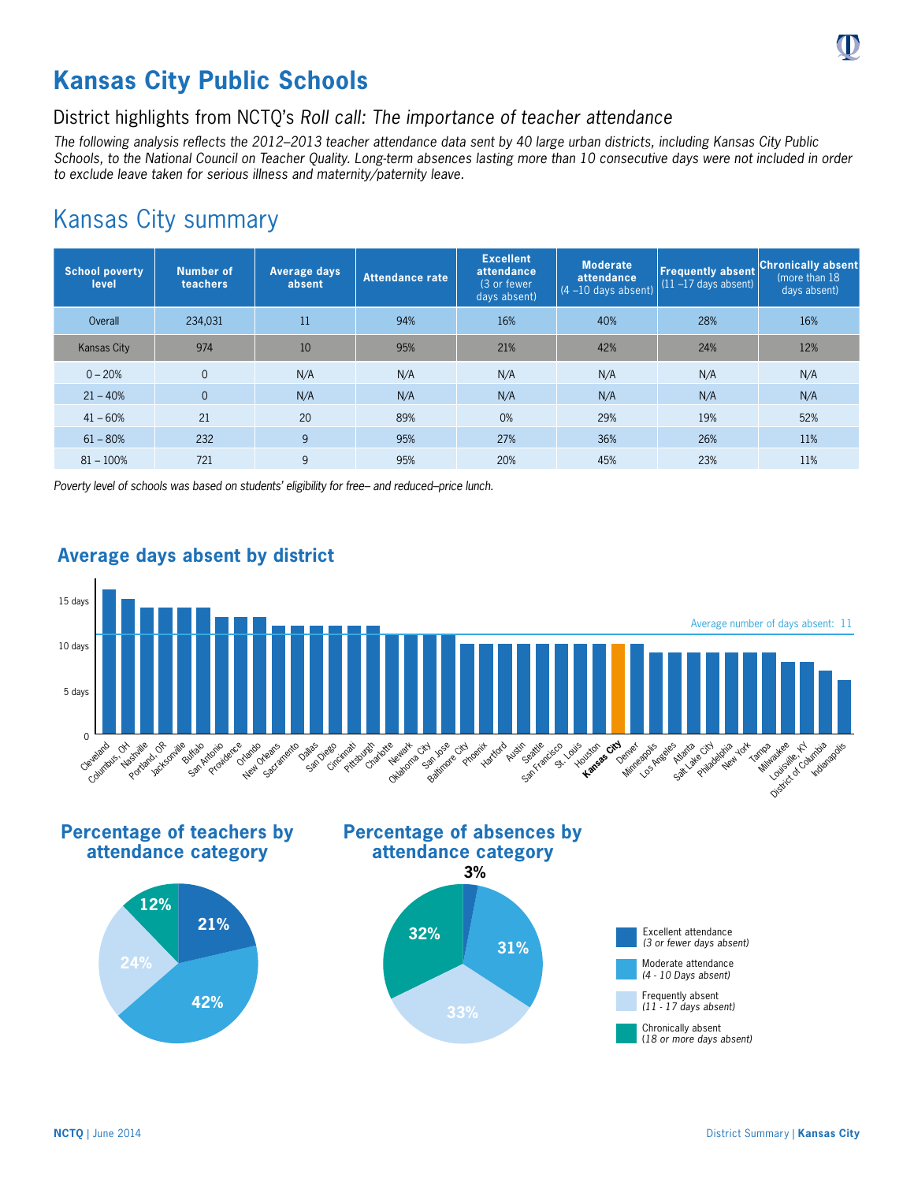# **Kansas City Public Schools**

## District highlights from NCTQ's *Roll call: The importance of teacher attendance*

*The following analysis reflects the 2012–2013 teacher attendance data sent by 40 large urban districts, including Kansas City Public Schools, to the National Council on Teacher Quality. Long-term absences lasting more than 10 consecutive days were not included in order to exclude leave taken for serious illness and maternity/paternity leave.*

## Kansas City summary

| <b>School poverty</b><br>level | Number of<br>teachers | Average days<br>absent | <b>Attendance rate</b> | <b>Excellent</b><br>attendance<br>(3 or fewer)<br>days absent) | <b>Moderate</b><br>attendance<br>$(4 - 10$ days absent) | <b>Frequently absent</b><br>$(11 - 17$ days absent) | <b>Chronically absent</b><br>(more than 18)<br>days absent) |
|--------------------------------|-----------------------|------------------------|------------------------|----------------------------------------------------------------|---------------------------------------------------------|-----------------------------------------------------|-------------------------------------------------------------|
| Overall                        | 234,031               | 11                     | 94%                    | 16%                                                            | 40%                                                     | 28%                                                 | 16%                                                         |
| <b>Kansas City</b>             | 974                   | 10                     | 95%                    | 21%                                                            | 42%                                                     | 24%                                                 | 12%                                                         |
| $0 - 20%$                      | $\overline{0}$        | N/A                    | N/A                    | N/A                                                            | N/A                                                     | N/A                                                 | N/A                                                         |
| $21 - 40%$                     | $\overline{0}$        | N/A                    | N/A                    | N/A                                                            | N/A                                                     | N/A                                                 | N/A                                                         |
| $41 - 60%$                     | 21                    | 20                     | 89%                    | 0%                                                             | 29%                                                     | 19%                                                 | 52%                                                         |
| $61 - 80%$                     | 232                   | 9                      | 95%                    | 27%                                                            | 36%                                                     | 26%                                                 | 11%                                                         |
| $81 - 100%$                    | 721                   | 9                      | 95%                    | 20%                                                            | 45%                                                     | 23%                                                 | 11%                                                         |

*Poverty level of schools was based on students' eligibility for free– and reduced–price lunch.*



## **Average days absent by district**